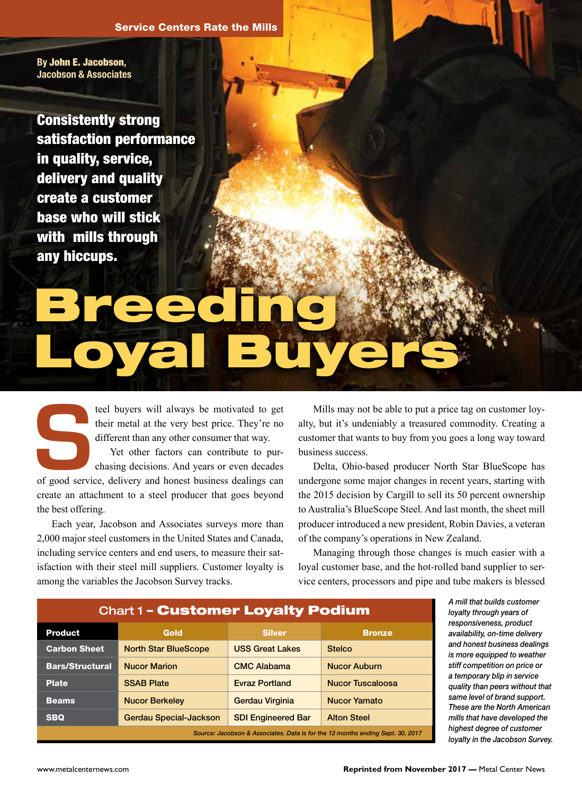By John E. Jacobson, Jacobson & Associates

Consistently strong satisfaction performance in quality, service, delivery and quality create a customer base who will stick with mills through any hiccups.

## Breeding Loyal Buyers **Breeding** Loyal Buyers

their metal at the very best price. They're no different than any other consumer that way.

teel buyers will always be motivated to get their metal at the very best price. They're no different than any other consumer that way.<br>Yet other factors can contribute to purchasing decisions. And years or even decades of Yet other factors can contribute to purchasing decisions. And years or even decades create an attachment to a steel producer that goes beyond the best offering.

Each year, Jacobson and Associates surveys more than 2,000 major steel customers in the United States and Canada, including service centers and end users, to measure their satisfaction with their steel mill suppliers. Customer loyalty is among the variables the Jacobson Survey tracks.

Mills may not be able to put a price tag on customer loyalty, but it's undeniably a treasured commodity. Creating a customer that wants to buy from you goes a long way toward business success.

Delta, Ohio-based producer North Star BlueScope has undergone some major changes in recent years, starting with the 2015 decision by Cargill to sell its 50 percent ownership to Australia's BlueScope Steel. And last month, the sheet mill producer introduced a new president, Robin Davies, a veteran of the company's operations in New Zealand.

Managing through those changes is much easier with a loyal customer base, and the hot-rolled band supplier to service centers, processors and pipe and tube makers is blessed

| <b>Chart 1 - Customer Loyalty Podium</b>                                       |                               |                           |                         |
|--------------------------------------------------------------------------------|-------------------------------|---------------------------|-------------------------|
| <b>Product</b>                                                                 | Gold                          | <b>Silver</b>             | <b>Bronze</b>           |
| <b>Carbon Sheet</b>                                                            | <b>North Star BlueScope</b>   | <b>USS Great Lakes</b>    | <b>Stelco</b>           |
| <b>Bars/Structural</b>                                                         | <b>Nucor Marion</b>           | <b>CMC Alabama</b>        | <b>Nucor Auburn</b>     |
| <b>Plate</b>                                                                   | <b>SSAB Plate</b>             | <b>Evraz Portland</b>     | <b>Nucor Tuscaloosa</b> |
| <b>Beams</b>                                                                   | <b>Nucor Berkeley</b>         | Gerdau Virginia           | <b>Nucor Yamato</b>     |
| <b>SBQ</b>                                                                     | <b>Gerdau Special-Jackson</b> | <b>SDI Engineered Bar</b> | <b>Alton Steel</b>      |
| Source: Jacobson & Associates. Data is for the 12 months ending Sept. 30, 2017 |                               |                           |                         |

*A mill that builds customer loyalty through years of responsiveness, product availability, on-time delivery and honest business dealings is more equipped to weather stiff competition on price or a temporary blip in service quality than peers without that same level of brand support. These are the North American mills that have developed the highest degree of customer loyalty in the Jacobson Survey.*

*Image iStockphoto.com, Peter de Kievith*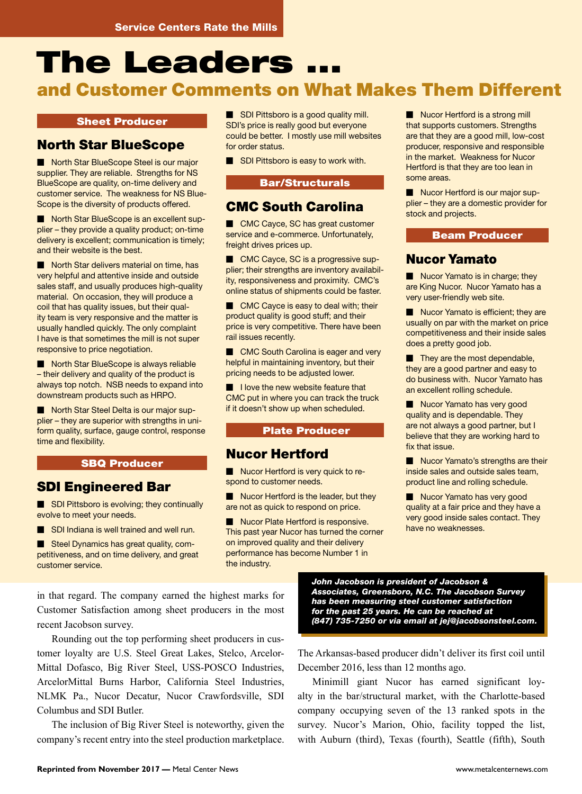# The Leaders ...

### and Customer Comments on What Makes Them Different

### Sheet Producer

### North Star BlueScope

Morth Star BlueScope Steel is our major supplier. They are reliable. Strengths for NS BlueScope are quality, on-time delivery and customer service. The weakness for NS Blue-Scope is the diversity of products offered.

Morth Star BlueScope is an excellent supplier – they provide a quality product; on-time delivery is excellent; communication is timely; and their website is the best.

 $\blacksquare$  North Star delivers material on time, has very helpful and attentive inside and outside sales staff, and usually produces high-quality material. On occasion, they will produce a coil that has quality issues, but their quality team is very responsive and the matter is usually handled quickly. The only complaint I have is that sometimes the mill is not super responsive to price negotiation.

Morth Star BlueScope is always reliable – their delivery and quality of the product is always top notch. NSB needs to expand into downstream products such as HRPO.

Morth Star Steel Delta is our major supplier – they are superior with strengths in uniform quality, surface, gauge control, response time and flexibility.

### SBQ Producer

### SDI Engineered Bar

 $\blacksquare$  SDI Pittsboro is evolving; they continually evolve to meet your needs.

SDI Indiana is well trained and well run.

■ Steel Dynamics has great quality, competitiveness, and on time delivery, and great customer service.

**M SDI Pittsboro is a good quality mill.** SDI's price is really good but everyone could be better. I mostly use mill websites for order status.

 $\blacksquare$  SDI Pittsboro is easy to work with.

### Bar/Structurals

### CMC South Carolina

■ CMC Cayce, SC has great customer service and e-commerce. Unfortunately, freight drives prices up.

■ CMC Cayce, SC is a progressive supplier; their strengths are inventory availability, responsiveness and proximity. CMC's online status of shipments could be faster.

 $\Box$  CMC Cayce is easy to deal with; their product quality is good stuff; and their price is very competitive. There have been rail issues recently.

**M CMC South Carolina is eager and very** helpful in maintaining inventory, but their pricing needs to be adjusted lower.

**M** I love the new website feature that CMC put in where you can track the truck if it doesn't show up when scheduled.

### Plate Producer

### Nucor Hertford

 $\blacksquare$  Nucor Hertford is very quick to respond to customer needs.

 $\blacksquare$  Nucor Hertford is the leader, but they are not as quick to respond on price.

**M** Nucor Plate Hertford is responsive. This past year Nucor has turned the corner on improved quality and their delivery performance has become Number 1 in the industry.

 $\blacksquare$  Nucor Hertford is a strong mill that supports customers. Strengths are that they are a good mill, low-cost producer, responsive and responsible in the market. Weakness for Nucor Hertford is that they are too lean in some areas.

 $\blacksquare$  Nucor Hertford is our major supplier – they are a domestic provider for stock and projects.

### Beam Producer

### Nucor Yamato

 $\blacksquare$  Nucor Yamato is in charge; they are King Nucor. Nucor Yamato has a very user-friendly web site.

 $\blacksquare$  Nucor Yamato is efficient; they are usually on par with the market on price competitiveness and their inside sales does a pretty good job.

 $\blacksquare$  They are the most dependable, they are a good partner and easy to do business with. Nucor Yamato has an excellent rolling schedule.

Nucor Yamato has very good quality and is dependable. They are not always a good partner, but I believe that they are working hard to fix that issue.

 $\blacksquare$  Nucor Yamato's strengths are their inside sales and outside sales team, product line and rolling schedule.

Nucor Yamato has very good quality at a fair price and they have a very good inside sales contact. They have no weaknesses.

in that regard. The company earned the highest marks for Customer Satisfaction among sheet producers in the most recent Jacobson survey.

Rounding out the top performing sheet producers in customer loyalty are U.S. Steel Great Lakes, Stelco, Arcelor-Mittal Dofasco, Big River Steel, USS-POSCO Industries, ArcelorMittal Burns Harbor, California Steel Industries, NLMK Pa., Nucor Decatur, Nucor Crawfordsville, SDI Columbus and SDI Butler.

The inclusion of Big River Steel is noteworthy, given the company's recent entry into the steel production marketplace.

*John Jacobson is president of Jacobson & Associates, Greensboro, N.C. The Jacobson Survey has been measuring steel customer satisfaction for the past 25 years. He can be reached at (847) 735-7250 or via email at jej@jacobsonsteel.com.*

The Arkansas-based producer didn't deliver its first coil until December 2016, less than 12 months ago.

Minimill giant Nucor has earned significant loyalty in the bar/structural market, with the Charlotte-based company occupying seven of the 13 ranked spots in the survey. Nucor's Marion, Ohio, facility topped the list, with Auburn (third), Texas (fourth), Seattle (fifth), South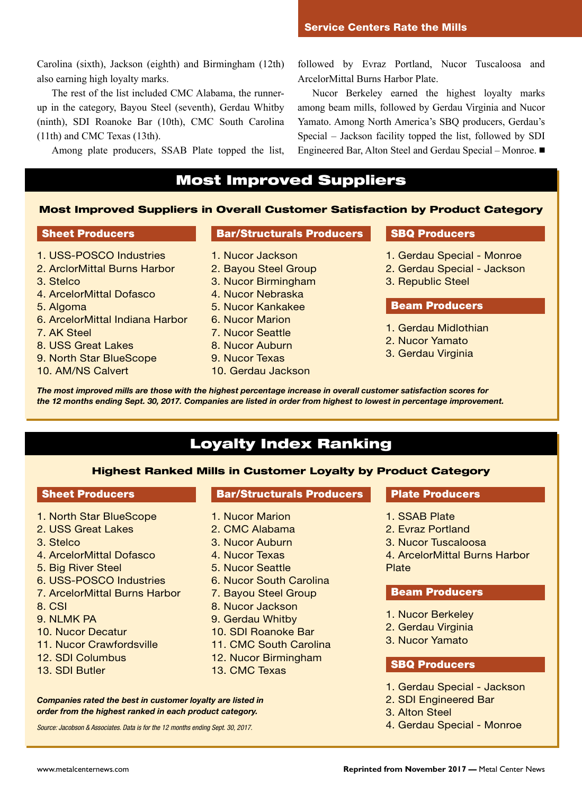Carolina (sixth), Jackson (eighth) and Birmingham (12th) also earning high loyalty marks.

The rest of the list included CMC Alabama, the runnerup in the category, Bayou Steel (seventh), Gerdau Whitby (ninth), SDI Roanoke Bar (10th), CMC South Carolina (11th) and CMC Texas (13th).

Among plate producers, SSAB Plate topped the list,

followed by Evraz Portland, Nucor Tuscaloosa and ArcelorMittal Burns Harbor Plate.

Nucor Berkeley earned the highest loyalty marks among beam mills, followed by Gerdau Virginia and Nucor Yamato. Among North America's SBQ producers, Gerdau's Special – Jackson facility topped the list, followed by SDI Engineered Bar, Alton Steel and Gerdau Special – Monroe. ■

### Most Improved Suppliers

### Most Improved Suppliers in Overall Customer Satisfaction by Product Category

#### Sheet Producers

- 1. USS-POSCO Industries
- 2. ArclorMittal Burns Harbor
- 3. Stelco
- 4. ArcelorMittal Dofasco
- 5. Algoma
- 6. ArcelorMittal Indiana Harbor
- 7. AK Steel
- 8. USS Great Lakes
- 9. North Star BlueScope
- 10. AM/NS Calvert

### Bar/Structurals Producers

- 1. Nucor Jackson
- 2. Bayou Steel Group
- 3. Nucor Birmingham
- 4. Nucor Nebraska
- 5. Nucor Kankakee
- 6. Nucor Marion
- 7. Nucor Seattle
- 8. Nucor Auburn
- 9. Nucor Texas
- 10. Gerdau Jackson

### SBQ Producers

- 1. Gerdau Special Monroe
- 2. Gerdau Special Jackson
- 3. Republic Steel

### Beam Producers

- 1. Gerdau Midlothian
- 2. Nucor Yamato
- 3. Gerdau Virginia

*The most improved mills are those with the highest percentage increase in overall customer satisfaction scores for the 12 months ending Sept. 30, 2017. Companies are listed in order from highest to lowest in percentage improvement.*

### Loyalty Index Ranking

#### Highest Ranked Mills in Customer Loyalty by Product Category

### Sheet Producers

- 1. North Star BlueScope
- 2. USS Great Lakes
- 3. Stelco
- 4. ArcelorMittal Dofasco
- 5. Big River Steel
- 6. USS-POSCO Industries
- 7. ArcelorMittal Burns Harbor
- 8. CSI
- 9. NLMK PA
- 10. Nucor Decatur
- 11. Nucor Crawfordsville
- 12. SDI Columbus
- 13. SDI Butler

### Bar/Structurals Producers

- 1. Nucor Marion
- 2. CMC Alabama
- 3. Nucor Auburn
- 4. Nucor Texas
- 5. Nucor Seattle
- 6. Nucor South Carolina
- 7. Bayou Steel Group
- 8. Nucor Jackson
- 9. Gerdau Whitby
- 10. SDI Roanoke Bar
- 11. CMC South Carolina
- 12. Nucor Birmingham
- 13. CMC Texas

*Companies rated the best in customer loyalty are listed in order from the highest ranked in each product category.*

*Source: Jacobson & Associates. Data is for the 12 months ending Sept. 30, 2017.*

### Plate Producers

- 1. SSAB Plate
- 2. Evraz Portland
- 3. Nucor Tuscaloosa

4. ArcelorMittal Burns Harbor Plate

#### Beam Producers

- 1. Nucor Berkeley
- 2. Gerdau Virginia
- 3. Nucor Yamato

### SBQ Producers

- 1. Gerdau Special Jackson
- 2. SDI Engineered Bar
- 3. Alton Steel
- 4. Gerdau Special Monroe